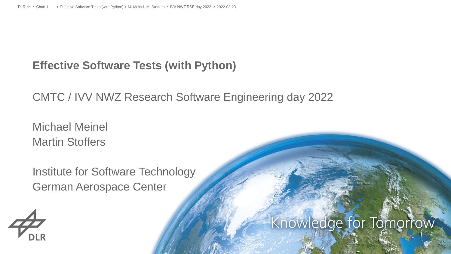# **Effective Software Tests (with Python)**

CMTC / IVV NWZ Research Software Engineering day 2022

Michael Meinel Martin Stoffers

Institute for Software Technology German Aerospace Center



# Knowledge for Tomorrow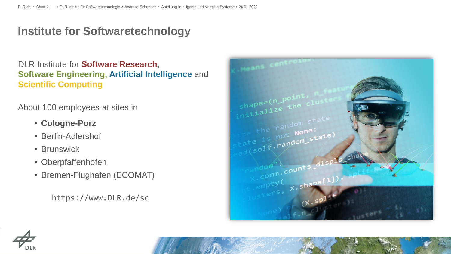# **Institute for Softwaretechnology**

DLR Institute for **Software Research**, **Software Engineering, Artificial Intelligence** and **Scientific Computing**

About 100 employees at sites in

- **Cologne-Porz**
- Berlin-Adlershof
- Brunswick
- Oberpfaffenhofen
- Bremen-Flughafen (ECOMAT)

https://www.DLR.de/sc





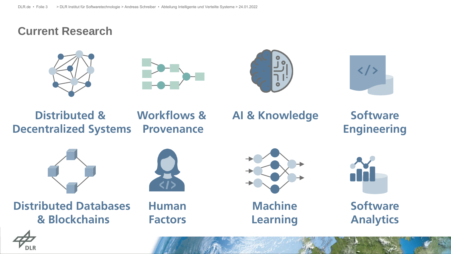### **Current Research**









# **Distributed & Decentralized Systems**

**Workflows & Provenance**

# **AI & Knowledge**

**Software Engineering**



**Distributed Databases & Blockchains**



**Human Factors**



**Machine Learning**



**Software Analytics**

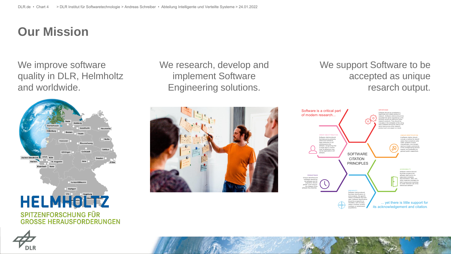# **Our Mission**

We improve software quality in DLR, Helmholtz and worldwide.



We research, develop and implement Software Engineering solutions.



We support Software to be accepted as unique resarch output.



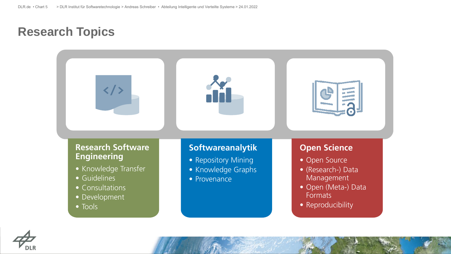# **Research Topics**



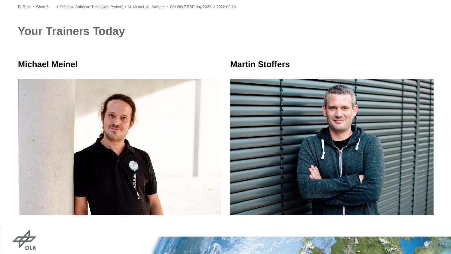# **Your Trainers Today**



#### **Michael Meinel Martin Stoffers**